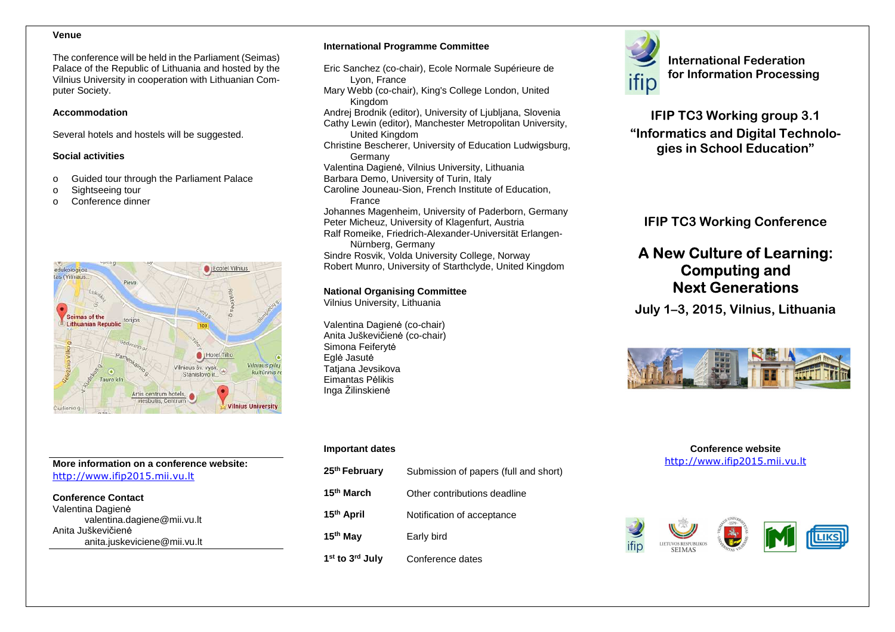#### **Venue**

The conference will be held in the Parliament (Seimas) Palace of the Republic of Lithuania and hosted by the Vilnius University in cooperation with Lithuanian Computer Society.

#### **Accommodation**

Several hotels and hostels will be suggested.

#### **Social activities**

- o Guided tour through the Parliament Palace
- o Sightseeing tour
- o Conference dinner



# **More information on a conference website:** http://www.ifip2015.mii.vu.lt

**Conference Contact**Valentina Dagienė valentina.dagiene@mii.vu.ltAnita Juškevičienėanita.juskeviciene@mii.vu.lt

#### **International Programme Committee**

- Eric Sanchez (co-chair), Ecole Normale Supérieure de Lyon, France Mary Webb (co-chair), King's College London, UnitedKingdom Andrej Brodnik (editor), University of Ljubljana, Slovenia Cathy Lewin (editor), Manchester Metropolitan University, United Kingdom Christine Bescherer, University of Education Ludwigsburg, Germany Valentina Dagienė, Vilnius University, Lithuania Barbara Demo, University of Turin, Italy Caroline Jouneau-Sion, French Institute of Education, France International Programme Committee<br>
Eric Sanchez (Co-chair), Ecole Normale Supérieure de<br>
Mary Web (co-chair), King's College London, United<br>
Mary Web (co-chair), King's College London, United<br>
Andy Web (co-chair), King's C
- Johannes Magenheim, University of Paderborn, Germany
- Peter Micheuz, University of Klagenfurt, Austria Ralf Romeike, Friedrich-Alexander-Universität Erlangen-
- Nürnberg, Germany Sindre Rosvik, Volda University College, Norway
- Robert Munro, University of Starthclyde, United Kingdom

#### **National Organising Committee**

Vilnius University, Lithuania

Valentina Dagienė (co-chair) Anita Juškevičienė (co-chair) Simona FeiferytėEglė Jasutė Tatjana Jevsikova Eimantas Pėlikis

#### **Important dates**

| 25 <sup>th</sup> February               | Submission of papers (full and short) |
|-----------------------------------------|---------------------------------------|
| 15 <sup>th</sup> March                  | Other contributions deadline          |
| 15 <sup>th</sup> April                  | Notification of acceptance            |
| 15 <sup>th</sup> May                    | Early bird                            |
| 1 <sup>st</sup> to 3 <sup>rd</sup> July | Conference dates                      |





#### **Conference website** http://www.ifip2015.mii.vu.lt